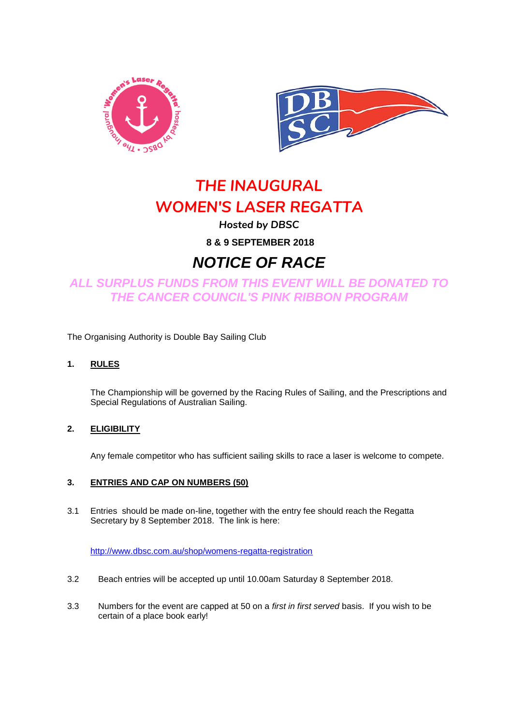



# *THE INAUGURAL WOMEN'S LASER REGATTA*

*Hosted by DBSC*

### **8 & 9 SEPTEMBER 2018**

## *NOTICE OF RACE*

### *ALL SURPLUS FUNDS FROM THIS EVENT WILL BE DONATED TO THE CANCER COUNCIL'S PINK RIBBON PROGRAM*

The Organising Authority is Double Bay Sailing Club

#### **1. RULES**

The Championship will be governed by the Racing Rules of Sailing, and the Prescriptions and Special Regulations of Australian Sailing.

#### **2. ELIGIBILITY**

Any female competitor who has sufficient sailing skills to race a laser is welcome to compete.

#### **3. ENTRIES AND CAP ON NUMBERS (50)**

3.1 Entries should be made on-line, together with the entry fee should reach the Regatta Secretary by 8 September 2018. The link is here:

<http://www.dbsc.com.au/shop/womens-regatta-registration>

- 3.2 Beach entries will be accepted up until 10.00am Saturday 8 September 2018.
- 3.3 Numbers for the event are capped at 50 on a *first in first served* basis. If you wish to be certain of a place book early!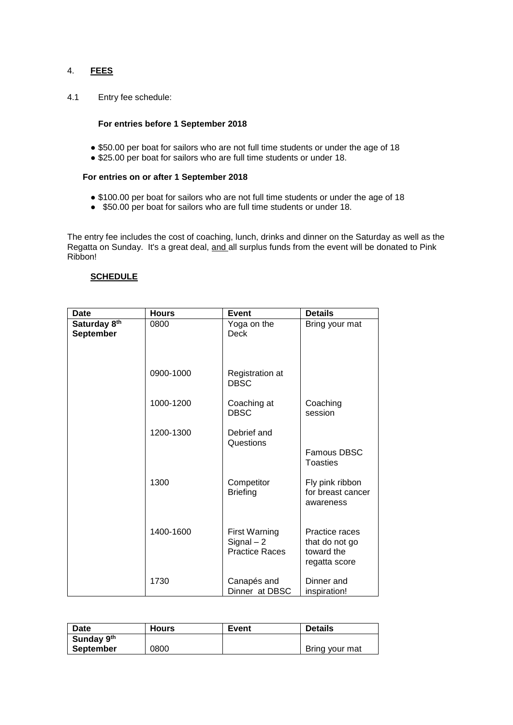#### 4. **FEES**

4.1 Entry fee schedule:

#### **For entries before 1 September 2018**

- \$50.00 per boat for sailors who are not full time students or under the age of 18
- \$25.00 per boat for sailors who are full time students or under 18.

#### **For entries on or after 1 September 2018**

- \$100.00 per boat for sailors who are not full time students or under the age of 18
- \$50.00 per boat for sailors who are full time students or under 18.

The entry fee includes the cost of coaching, lunch, drinks and dinner on the Saturday as well as the Regatta on Sunday. It's a great deal, and all surplus funds from the event will be donated to Pink Ribbon!

#### **SCHEDULE**

| <b>Date</b>                                  | <b>Hours</b> | <b>Event</b>                                                  | <b>Details</b>                                                  |
|----------------------------------------------|--------------|---------------------------------------------------------------|-----------------------------------------------------------------|
| Saturday 8 <sup>th</sup><br><b>September</b> | 0800         | Yoga on the<br>Deck                                           | Bring your mat                                                  |
|                                              | 0900-1000    | Registration at<br><b>DBSC</b>                                |                                                                 |
|                                              | 1000-1200    | Coaching at<br><b>DBSC</b>                                    | Coaching<br>session                                             |
|                                              | 1200-1300    | Debrief and<br>Questions                                      | Famous DBSC<br><b>Toasties</b>                                  |
|                                              | 1300         | Competitor<br><b>Briefing</b>                                 | Fly pink ribbon<br>for breast cancer<br>awareness               |
|                                              | 1400-1600    | <b>First Warning</b><br>$Signal - 2$<br><b>Practice Races</b> | Practice races<br>that do not go<br>toward the<br>regatta score |
|                                              | 1730         | Canapés and<br>Dinner at DBSC                                 | Dinner and<br>inspiration!                                      |

| Date       | <b>Hours</b> | <b>Event</b> | <b>Details</b> |
|------------|--------------|--------------|----------------|
| Sunday 9th |              |              |                |
| September  | 0800         |              | Bring your mat |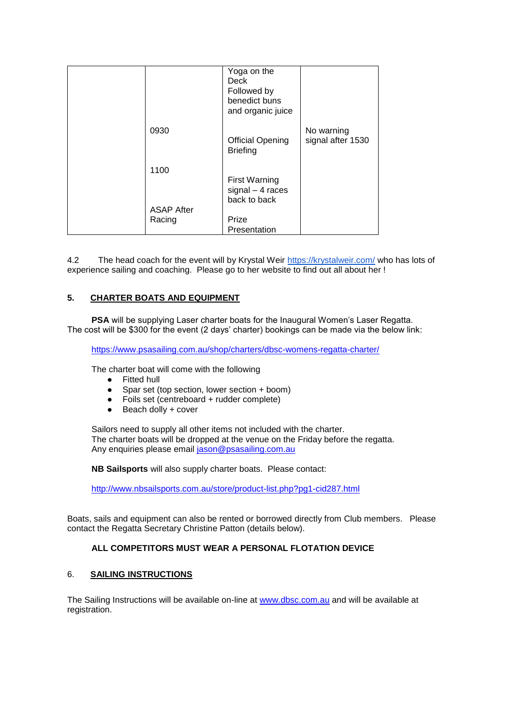|                           | Yoga on the<br>Deck<br>Followed by<br>benedict buns<br>and organic juice |                                 |
|---------------------------|--------------------------------------------------------------------------|---------------------------------|
| 0930                      | <b>Official Opening</b><br><b>Briefing</b>                               | No warning<br>signal after 1530 |
| 1100<br><b>ASAP After</b> | <b>First Warning</b><br>$signal - 4$ races<br>back to back               |                                 |
| Racing                    | Prize<br>Presentation                                                    |                                 |

4.2 The head coach for the event will by Krystal Weir<https://krystalweir.com/> who has lots of experience sailing and coaching. Please go to her website to find out all about her !

#### **5. CHARTER BOATS AND EQUIPMENT**

**PSA** will be supplying Laser charter boats for the Inaugural Women's Laser Regatta. The cost will be \$300 for the event (2 days' charter) bookings can be made via the below link:

<https://www.psasailing.com.au/shop/charters/dbsc-womens-regatta-charter/>

The charter boat will come with the following

- Fitted hull
- Spar set (top section, lower section + boom)
- Foils set (centreboard + rudder complete)<br>● Beach dolly + cover
- Beach dolly + cover

Sailors need to supply all other items not included with the charter. The charter boats will be dropped at the venue on the Friday before the regatta. Any enquiries please email [jason@psasailing.com.au](mailto:jason@psasailing.com.au)

**NB Sailsports** will also supply charter boats. Please contact:

<http://www.nbsailsports.com.au/store/product-list.php?pg1-cid287.html>

Boats, sails and equipment can also be rented or borrowed directly from Club members. Please contact the Regatta Secretary Christine Patton (details below).

#### **ALL COMPETITORS MUST WEAR A PERSONAL FLOTATION DEVICE**

#### 6. **SAILING INSTRUCTIONS**

The Sailing Instructions will be available on-line at [www.dbsc.com.au](http://www.dbsc.com.au/) and will be available at registration.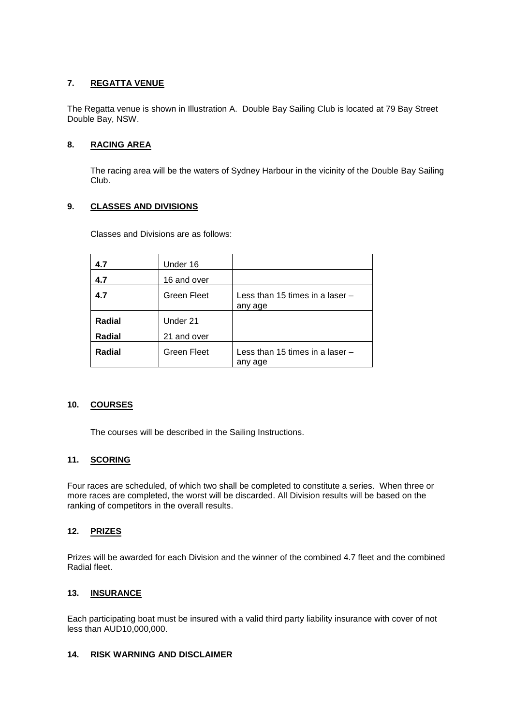#### **7. REGATTA VENUE**

The Regatta venue is shown in Illustration A. Double Bay Sailing Club is located at 79 Bay Street Double Bay, NSW.

#### **8. RACING AREA**

The racing area will be the waters of Sydney Harbour in the vicinity of the Double Bay Sailing Club.

#### **9. CLASSES AND DIVISIONS**

Classes and Divisions are as follows:

| 4.7    | Under 16           |                                              |
|--------|--------------------|----------------------------------------------|
| 4.7    | 16 and over        |                                              |
| 4.7    | <b>Green Fleet</b> | Less than 15 times in a laser $-$<br>any age |
| Radial | Under 21           |                                              |
| Radial | 21 and over        |                                              |
| Radial | Green Fleet        | Less than 15 times in a laser $-$<br>any age |

#### **10. COURSES**

The courses will be described in the Sailing Instructions.

#### **11. SCORING**

Four races are scheduled, of which two shall be completed to constitute a series. When three or more races are completed, the worst will be discarded. All Division results will be based on the ranking of competitors in the overall results.

#### **12. PRIZES**

Prizes will be awarded for each Division and the winner of the combined 4.7 fleet and the combined Radial fleet.

#### **13. INSURANCE**

Each participating boat must be insured with a valid third party liability insurance with cover of not less than AUD10,000,000.

#### **14. RISK WARNING AND DISCLAIMER**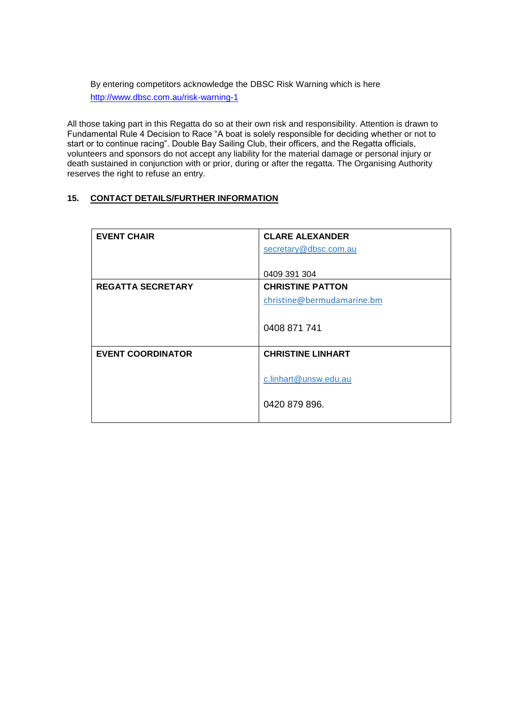By entering competitors acknowledge the DBSC Risk Warning which is here <http://www.dbsc.com.au/risk-warning-1>

All those taking part in this Regatta do so at their own risk and responsibility. Attention is drawn to Fundamental Rule 4 Decision to Race "A boat is solely responsible for deciding whether or not to start or to continue racing". Double Bay Sailing Club, their officers, and the Regatta officials, volunteers and sponsors do not accept any liability for the material damage or personal injury or death sustained in conjunction with or prior, during or after the regatta. The Organising Authority reserves the right to refuse an entry.

#### **15. CONTACT DETAILS/FURTHER INFORMATION**

| <b>EVENT CHAIR</b>       | <b>CLARE ALEXANDER</b>     |
|--------------------------|----------------------------|
|                          | secretary@dbsc.com.au      |
|                          |                            |
|                          | 0409 391 304               |
| <b>REGATTA SECRETARY</b> | <b>CHRISTINE PATTON</b>    |
|                          | christine@bermudamarine.bm |
|                          |                            |
|                          | 0408 871 741               |
|                          |                            |
| <b>EVENT COORDINATOR</b> | <b>CHRISTINE LINHART</b>   |
|                          |                            |
|                          | c.linhart@unsw.edu.au      |
|                          |                            |
|                          | 0420 879 896.              |
|                          |                            |